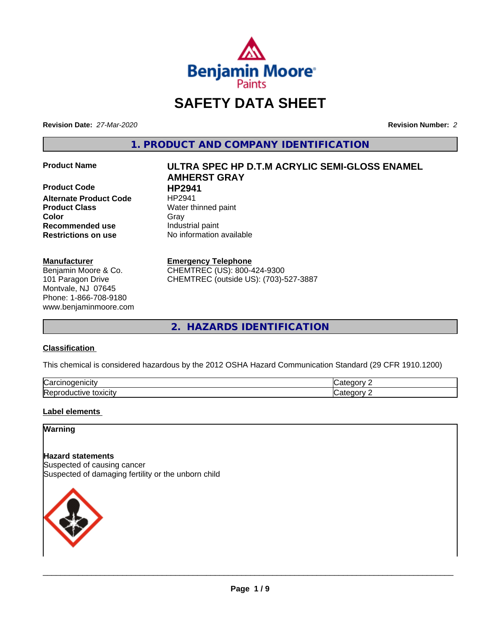

## **SAFETY DATA SHEET**

**Revision Date:** *27-Mar-2020* **Revision Number:** *2*

**1. PRODUCT AND COMPANY IDENTIFICATION**

**Product Code 
<b>HP2941**<br> **Alternate Product Code** 
HP2941 **Alternate Product Code Product Class** Water thinned paint **Color** Gray Gray **Recommended use** Industrial paint **Restrictions on use** No information available

#### **Manufacturer**

Benjamin Moore & Co. 101 Paragon Drive Montvale, NJ 07645 Phone: 1-866-708-9180 www.benjaminmoore.com

# **Product Name ULTRA SPEC HP D.T.M ACRYLIC SEMI-GLOSS ENAMEL AMHERST GRAY**

#### **Emergency Telephone**

CHEMTREC (US): 800-424-9300 CHEMTREC (outside US): (703)-527-3887

**2. HAZARDS IDENTIFICATION**

#### **Classification**

This chemical is considered hazardous by the 2012 OSHA Hazard Communication Standard (29 CFR 1910.1200)

| ∽<br>ш<br>۱۱۰. ا<br>va                                                        |              |
|-------------------------------------------------------------------------------|--------------|
| r<br>1.0.1.0.0.00<br>---<br>IR AN<br>w<br><b>LUXIGIL</b><br>'N.<br>. .<br>. . | - - -<br>. . |

#### **Label elements**

#### **Warning**

**Hazard statements** Suspected of causing cancer Suspected of damaging fertility or the unborn child

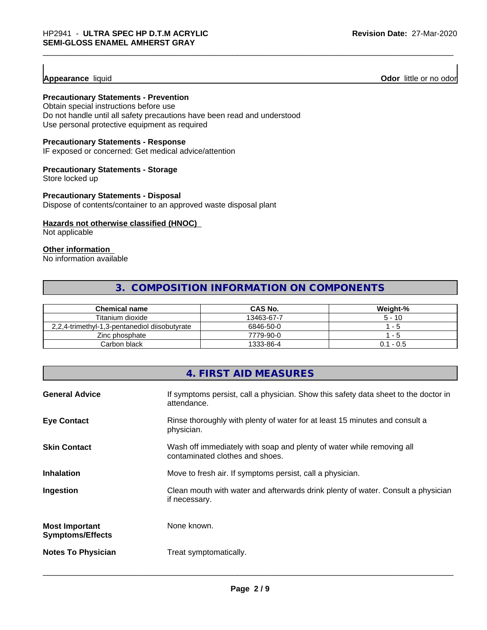#### **Appearance** liquid

**Odor** little or no odor

#### **Precautionary Statements - Prevention**

Obtain special instructions before use Do not handle until all safety precautions have been read and understood Use personal protective equipment as required

#### **Precautionary Statements - Response**

IF exposed or concerned: Get medical advice/attention

#### **Precautionary Statements - Storage**

Store locked up

#### **Precautionary Statements - Disposal**

Dispose of contents/container to an approved waste disposal plant

#### **Hazards not otherwise classified (HNOC)**

Not applicable

#### **Other information**

No information available

#### **3. COMPOSITION INFORMATION ON COMPONENTS**

| <b>Chemical name</b>                          | <b>CAS No.</b> | Weight-%     |
|-----------------------------------------------|----------------|--------------|
| Titanium dioxide                              | 13463-67-7     | $5 - 10$     |
| 2,2,4-trimethyl-1,3-pentanediol diisobutyrate | 6846-50-0      | $ -$         |
| Zinc phosphate                                | 7779-90-0      | - 5          |
| Carbon black                                  | 1333-86-4      | - 0.5<br>0.1 |

#### **4. FIRST AID MEASURES**

| <b>General Advice</b>                            | If symptoms persist, call a physician. Show this safety data sheet to the doctor in<br>attendance.       |
|--------------------------------------------------|----------------------------------------------------------------------------------------------------------|
| <b>Eye Contact</b>                               | Rinse thoroughly with plenty of water for at least 15 minutes and consult a<br>physician.                |
| <b>Skin Contact</b>                              | Wash off immediately with soap and plenty of water while removing all<br>contaminated clothes and shoes. |
| <b>Inhalation</b>                                | Move to fresh air. If symptoms persist, call a physician.                                                |
| Ingestion                                        | Clean mouth with water and afterwards drink plenty of water. Consult a physician<br>if necessary.        |
| <b>Most Important</b><br><b>Symptoms/Effects</b> | None known.                                                                                              |
| <b>Notes To Physician</b>                        | Treat symptomatically.                                                                                   |
|                                                  |                                                                                                          |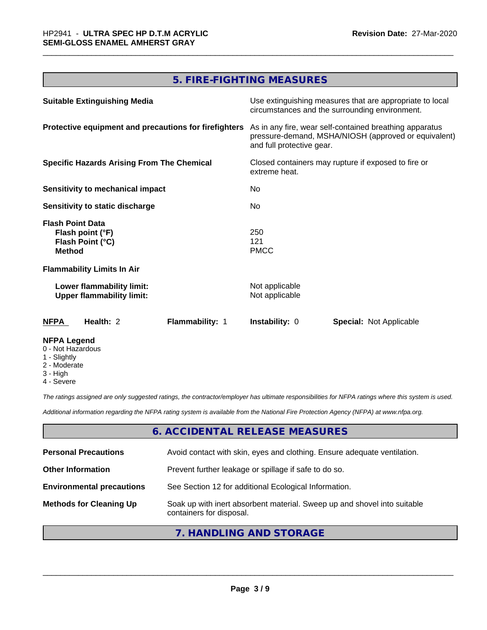### **5. FIRE-FIGHTING MEASURES**

| <b>Suitable Extinguishing Media</b>                                              | Use extinguishing measures that are appropriate to local<br>circumstances and the surrounding environment.                                   |
|----------------------------------------------------------------------------------|----------------------------------------------------------------------------------------------------------------------------------------------|
| Protective equipment and precautions for firefighters                            | As in any fire, wear self-contained breathing apparatus<br>pressure-demand, MSHA/NIOSH (approved or equivalent)<br>and full protective gear. |
| <b>Specific Hazards Arising From The Chemical</b>                                | Closed containers may rupture if exposed to fire or<br>extreme heat.                                                                         |
| Sensitivity to mechanical impact                                                 | No                                                                                                                                           |
| Sensitivity to static discharge                                                  | No.                                                                                                                                          |
| <b>Flash Point Data</b><br>Flash point (°F)<br>Flash Point (°C)<br><b>Method</b> | 250<br>121<br><b>PMCC</b>                                                                                                                    |
| <b>Flammability Limits In Air</b>                                                |                                                                                                                                              |
| Lower flammability limit:<br><b>Upper flammability limit:</b>                    | Not applicable<br>Not applicable                                                                                                             |
| Flammability: 1<br><b>NFPA</b><br>Health: 2                                      | <b>Instability: 0</b><br><b>Special: Not Applicable</b>                                                                                      |
| <b>NFPA Legend</b><br>0 - Not Hazardous<br>1 - Slightly                          |                                                                                                                                              |

- 2 Moderate
- 3 High
- 4 Severe

*The ratings assigned are only suggested ratings, the contractor/employer has ultimate responsibilities for NFPA ratings where this system is used.*

*Additional information regarding the NFPA rating system is available from the National Fire Protection Agency (NFPA) at www.nfpa.org.*

#### **6. ACCIDENTAL RELEASE MEASURES**

| <b>Personal Precautions</b>      | Avoid contact with skin, eyes and clothing. Ensure adequate ventilation.                             |
|----------------------------------|------------------------------------------------------------------------------------------------------|
| <b>Other Information</b>         | Prevent further leakage or spillage if safe to do so.                                                |
| <b>Environmental precautions</b> | See Section 12 for additional Ecological Information.                                                |
| <b>Methods for Cleaning Up</b>   | Soak up with inert absorbent material. Sweep up and shovel into suitable<br>containers for disposal. |

### **7. HANDLING AND STORAGE**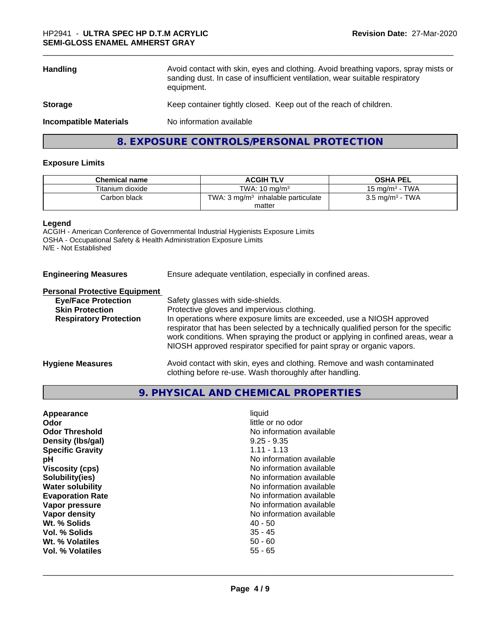| <b>Handling</b>               | Avoid contact with skin, eyes and clothing. Avoid breathing vapors, spray mists or<br>sanding dust. In case of insufficient ventilation, wear suitable respiratory<br>equipment. |
|-------------------------------|----------------------------------------------------------------------------------------------------------------------------------------------------------------------------------|
| <b>Storage</b>                | Keep container tightly closed. Keep out of the reach of children.                                                                                                                |
| <b>Incompatible Materials</b> | No information available                                                                                                                                                         |
|                               | 8. EXPOSURE CONTROLS/PERSONAL PROTECTION                                                                                                                                         |

#### **Exposure Limits**

| <b>Chemical name</b> | <b>ACGIH TLV</b>                              | <b>OSHA PEL</b>            |
|----------------------|-----------------------------------------------|----------------------------|
| Titanium dioxide     | TWA: $10 \text{ ma/m}^3$                      | 15 mg/m $3$ - TWA          |
| Carbon black         | TWA: $3 \text{ mg/m}^3$ inhalable particulate | $3.5 \text{ mg/m}^3$ - TWA |
|                      | matter                                        |                            |

#### **Legend**

ACGIH - American Conference of Governmental Industrial Hygienists Exposure Limits OSHA - Occupational Safety & Health Administration Exposure Limits N/E - Not Established

**Engineering Measures** Ensure adequate ventilation, especially in confined areas.

#### **Personal Protective Equipment**

| <b>Eye/Face Protection</b>    | Safety glasses with side-shields.                                                                                                                                                                                                                                                                                            |
|-------------------------------|------------------------------------------------------------------------------------------------------------------------------------------------------------------------------------------------------------------------------------------------------------------------------------------------------------------------------|
| <b>Skin Protection</b>        | Protective gloves and impervious clothing.                                                                                                                                                                                                                                                                                   |
| <b>Respiratory Protection</b> | In operations where exposure limits are exceeded, use a NIOSH approved<br>respirator that has been selected by a technically qualified person for the specific<br>work conditions. When spraying the product or applying in confined areas, wear a<br>NIOSH approved respirator specified for paint spray or organic vapors. |
| <b>Hygiene Measures</b>       | Avoid contact with skin, eyes and clothing. Remove and wash contaminated<br>clothing before re-use. Wash thoroughly after handling.                                                                                                                                                                                          |

### **9. PHYSICAL AND CHEMICAL PROPERTIES**

| Appearance              | liquid                   |
|-------------------------|--------------------------|
| Odor                    | little or no odor        |
| <b>Odor Threshold</b>   | No information available |
| Density (Ibs/gal)       | $9.25 - 9.35$            |
| <b>Specific Gravity</b> | $1.11 - 1.13$            |
| рH                      | No information available |
| <b>Viscosity (cps)</b>  | No information available |
| Solubility(ies)         | No information available |
| <b>Water solubility</b> | No information available |
| <b>Evaporation Rate</b> | No information available |
| Vapor pressure          | No information available |
| Vapor density           | No information available |
| Wt. % Solids            | $40 - 50$                |
| Vol. % Solids           | $35 - 45$                |
| Wt. % Volatiles         | $50 - 60$                |
| Vol. % Volatiles        | $55 - 65$                |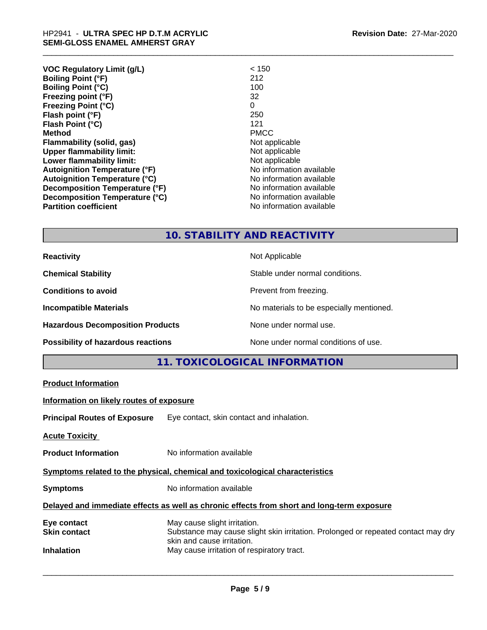| <b>VOC Regulatory Limit (g/L)</b>    | < 150                    |
|--------------------------------------|--------------------------|
| <b>Boiling Point (°F)</b>            | 212                      |
| <b>Boiling Point (°C)</b>            | 100                      |
| Freezing point (°F)                  | 32                       |
| <b>Freezing Point (°C)</b>           | 0                        |
| Flash point (°F)                     | 250                      |
| Flash Point (°C)                     | 121                      |
| <b>Method</b>                        | <b>PMCC</b>              |
| Flammability (solid, gas)            | Not applicable           |
| <b>Upper flammability limit:</b>     | Not applicable           |
| Lower flammability limit:            | Not applicable           |
| <b>Autoignition Temperature (°F)</b> | No information available |
| Autoignition Temperature (°C)        | No information available |
| Decomposition Temperature (°F)       | No information available |
| Decomposition Temperature (°C)       | No information available |
| <b>Partition coefficient</b>         | No information available |

### **10. STABILITY AND REACTIVITY**

| <b>Reactivity</b>                         | Not Applicable                           |
|-------------------------------------------|------------------------------------------|
| <b>Chemical Stability</b>                 | Stable under normal conditions.          |
| <b>Conditions to avoid</b>                | Prevent from freezing.                   |
| <b>Incompatible Materials</b>             | No materials to be especially mentioned. |
| <b>Hazardous Decomposition Products</b>   | None under normal use.                   |
| <b>Possibility of hazardous reactions</b> | None under normal conditions of use.     |

|                                          | <b>11. TOXICOLOGICAL INFORMATION</b>                                                                            |
|------------------------------------------|-----------------------------------------------------------------------------------------------------------------|
| <b>Product Information</b>               |                                                                                                                 |
| Information on likely routes of exposure |                                                                                                                 |
|                                          | <b>Principal Routes of Exposure</b> Eye contact, skin contact and inhalation.                                   |
| <b>Acute Toxicity</b>                    |                                                                                                                 |
| <b>Product Information</b>               | No information available                                                                                        |
|                                          | Symptoms related to the physical, chemical and toxicological characteristics                                    |
| <b>Symptoms</b>                          | No information available                                                                                        |
|                                          | Delayed and immediate effects as well as chronic effects from short and long-term exposure                      |
| Eye contact                              | May cause slight irritation.                                                                                    |
| <b>Skin contact</b>                      | Substance may cause slight skin irritation. Prolonged or repeated contact may dry<br>skin and cause irritation. |
| <b>Inhalation</b>                        | May cause irritation of respiratory tract.                                                                      |
|                                          |                                                                                                                 |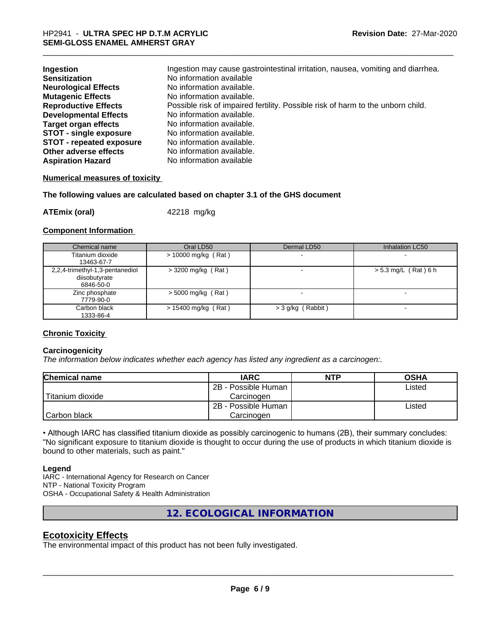| Ingestion                       | Ingestion may cause gastrointestinal irritation, nausea, vomiting and diarrhea. |
|---------------------------------|---------------------------------------------------------------------------------|
| <b>Sensitization</b>            | No information available                                                        |
| <b>Neurological Effects</b>     | No information available.                                                       |
| <b>Mutagenic Effects</b>        | No information available.                                                       |
| <b>Reproductive Effects</b>     | Possible risk of impaired fertility. Possible risk of harm to the unborn child. |
| <b>Developmental Effects</b>    | No information available.                                                       |
| Target organ effects            | No information available.                                                       |
| <b>STOT - single exposure</b>   | No information available.                                                       |
| <b>STOT - repeated exposure</b> | No information available.                                                       |
| Other adverse effects           | No information available.                                                       |
| <b>Aspiration Hazard</b>        | No information available                                                        |

#### **Numerical measures of toxicity**

**The following values are calculated based on chapter 3.1 of the GHS document**

**ATEmix (oral)** 42218 mg/kg

#### **Component Information**

| Chemical name                   | Oral LD50             | Dermal LD50       | Inhalation LC50        |
|---------------------------------|-----------------------|-------------------|------------------------|
| Titanium dioxide                | $> 10000$ mg/kg (Rat) |                   |                        |
| 13463-67-7                      |                       |                   |                        |
| 2,2,4-trimethyl-1,3-pentanediol | $>$ 3200 mg/kg (Rat)  |                   | $> 5.3$ mg/L (Rat) 6 h |
| diisobutyrate                   |                       |                   |                        |
| 6846-50-0                       |                       |                   |                        |
| Zinc phosphate                  | $>$ 5000 mg/kg (Rat)  |                   |                        |
| 7779-90-0                       |                       |                   |                        |
| Carbon black                    | $> 15400$ mg/kg (Rat) | > 3 g/kg (Rabbit) |                        |
| 1333-86-4                       |                       |                   |                        |

#### **Chronic Toxicity**

#### **Carcinogenicity**

*The information below indicateswhether each agency has listed any ingredient as a carcinogen:.*

| Chemical name    | <b>IARC</b>                   | <b>NTP</b> | <b>OSHA</b> |  |
|------------------|-------------------------------|------------|-------------|--|
|                  | 2B - Possible Human           |            | Listed      |  |
| Titanium dioxide | Carcinoɑen                    |            |             |  |
|                  | 2B - Possible Human<br>Listed |            |             |  |
| Carbon black     | Carcinogen                    |            |             |  |

• Although IARC has classified titanium dioxide as possibly carcinogenic to humans (2B), their summary concludes: "No significant exposure to titanium dioxide is thought to occur during the use of products in which titanium dioxide is bound to other materials, such as paint."

#### **Legend**

IARC - International Agency for Research on Cancer NTP - National Toxicity Program OSHA - Occupational Safety & Health Administration

**12. ECOLOGICAL INFORMATION**

#### **Ecotoxicity Effects**

The environmental impact of this product has not been fully investigated.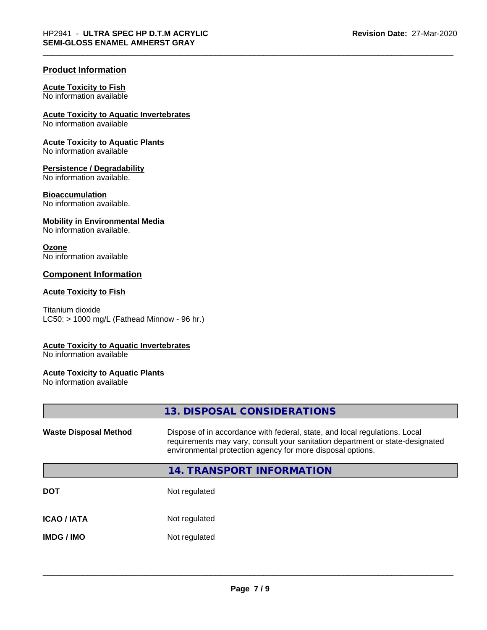#### **Product Information**

#### **Acute Toxicity to Fish**

No information available

#### **Acute Toxicity to Aquatic Invertebrates**

No information available

#### **Acute Toxicity to Aquatic Plants**

No information available

#### **Persistence / Degradability**

No information available.

#### **Bioaccumulation**

No information available.

#### **Mobility in Environmental Media**

No information available.

#### **Ozone**

No information available

#### **Component Information**

#### **Acute Toxicity to Fish**

Titanium dioxide  $LC50:$  > 1000 mg/L (Fathead Minnow - 96 hr.)

#### **Acute Toxicity to Aquatic Invertebrates**

No information available

#### **Acute Toxicity to Aquatic Plants**

No information available

|                              | 13. DISPOSAL CONSIDERATIONS                                                                                                                                                                                               |
|------------------------------|---------------------------------------------------------------------------------------------------------------------------------------------------------------------------------------------------------------------------|
| <b>Waste Disposal Method</b> | Dispose of in accordance with federal, state, and local regulations. Local<br>requirements may vary, consult your sanitation department or state-designated<br>environmental protection agency for more disposal options. |
|                              | <b>14. TRANSPORT INFORMATION</b>                                                                                                                                                                                          |
| <b>DOT</b>                   | Not regulated                                                                                                                                                                                                             |
| <b>ICAO / IATA</b>           | Not regulated                                                                                                                                                                                                             |
| <b>IMDG/IMO</b>              | Not regulated                                                                                                                                                                                                             |
|                              |                                                                                                                                                                                                                           |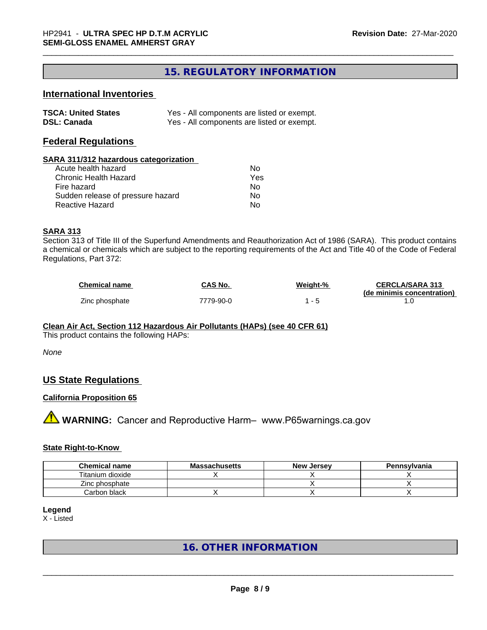### **15. REGULATORY INFORMATION**

#### **International Inventories**

| <b>TSCA: United States</b> | Yes - All components are listed or exempt. |
|----------------------------|--------------------------------------------|
| <b>DSL: Canada</b>         | Yes - All components are listed or exempt. |

#### **Federal Regulations**

#### **SARA 311/312 hazardous categorization**

| Acute health hazard               | Nο  |
|-----------------------------------|-----|
| Chronic Health Hazard             | Yes |
| Fire hazard                       | N٥  |
| Sudden release of pressure hazard | Nο  |
| Reactive Hazard                   | N٥  |

#### **SARA 313**

Section 313 of Title III of the Superfund Amendments and Reauthorization Act of 1986 (SARA). This product contains a chemical or chemicals which are subject to the reporting requirements of the Act and Title 40 of the Code of Federal Regulations, Part 372:

| <b>Chemical name</b> | <b>CAS No.</b> | Weight-% | <b>CERCLA/SARA 313</b>     |
|----------------------|----------------|----------|----------------------------|
|                      |                |          | (de minimis concentration) |
| Zinc phosphate       | 7779-90-0      |          |                            |

#### **Clean Air Act,Section 112 Hazardous Air Pollutants (HAPs) (see 40 CFR 61)**

This product contains the following HAPs:

*None*

#### **US State Regulations**

#### **California Proposition 65**

**A WARNING:** Cancer and Reproductive Harm– www.P65warnings.ca.gov

#### **State Right-to-Know**

| <b>Chemical name</b> | <b>Massachusetts</b> | <b>New Jersey</b> | Pennsylvania |
|----------------------|----------------------|-------------------|--------------|
| Titanium dioxide     |                      |                   |              |
| Zinc phosphate       |                      |                   |              |
| Carbon black         |                      |                   |              |

#### **Legend**

X - Listed

#### **16. OTHER INFORMATION**